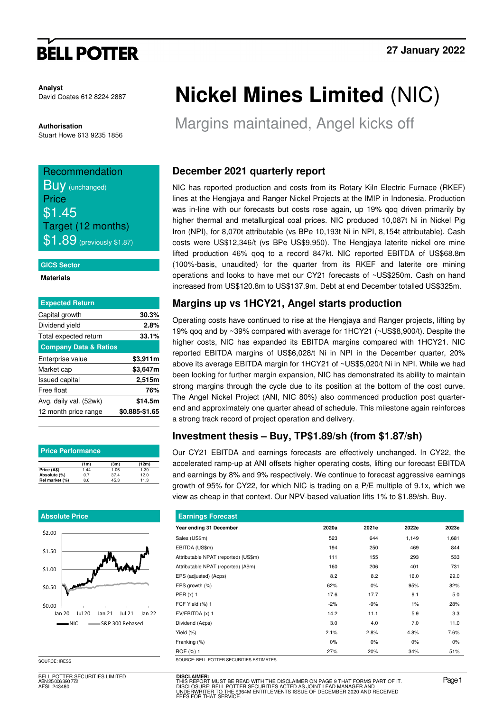# **BELL POTTER**

**Analyst**  David Coates 612 8224 2887

**Authorisation**  Stuart Howe 613 9235 1856

## Recommendation **BUV** (unchanged) Price \$1.45 Target (12 months) **\$1.89** (previously \$1.87)

### **GICS Sector**

#### **Materials**

| <b>Expected Return</b>           |                |
|----------------------------------|----------------|
| Capital growth                   | 30.3%          |
| Dividend yield                   | 2.8%           |
| Total expected return            | 33.1%          |
| <b>Company Data &amp; Ratios</b> |                |
| Enterprise value                 | \$3,911m       |
| Market cap                       | \$3,647m       |
| <b>Issued capital</b>            | 2,515m         |
| Free float                       | 76%            |
| Avg. daily val. (52wk)           | \$14.5m        |
| 12 month price range             | \$0.885-\$1.65 |
|                                  |                |

| <b>Price Performance</b> |      |      |       |  |  |  |  |  |  |
|--------------------------|------|------|-------|--|--|--|--|--|--|
|                          | (1m) | (3m) | (12m) |  |  |  |  |  |  |
| Price (A\$)              | 1.44 | 1.06 | 1.30  |  |  |  |  |  |  |
| Absolute (%)             | 0.7  | 37.4 | 12.0  |  |  |  |  |  |  |
| Rel market (%)           | 8.6  | 45.3 | 11.3  |  |  |  |  |  |  |

### **Absolute Price**



SOURCE: IRESS

BELL POTTER SECURITIES LIMITED ABN 25 006 390 772 AFSL 243480

# **Nickel Mines Limited** (NIC)

Margins maintained, Angel kicks off

## **December 2021 quarterly report**

NIC has reported production and costs from its Rotary Kiln Electric Furnace (RKEF) lines at the Hengjaya and Ranger Nickel Projects at the IMIP in Indonesia. Production was in-line with our forecasts but costs rose again, up 19% qoq driven primarily by higher thermal and metallurgical coal prices. NIC produced 10,087t Ni in Nickel Pig Iron (NPI), for 8,070t attributable (vs BPe 10,193t Ni in NPI, 8,154t attributable). Cash costs were US\$12,346/t (vs BPe US\$9,950). The Hengjaya laterite nickel ore mine lifted production 46% qoq to a record 847kt. NIC reported EBITDA of US\$68.8m (100%-basis, unaudited) for the quarter from its RKEF and laterite ore mining operations and looks to have met our CY21 forecasts of ~US\$250m. Cash on hand increased from US\$120.8m to US\$137.9m. Debt at end December totalled US\$325m.

## **Margins up vs 1HCY21, Angel starts production**

Operating costs have continued to rise at the Hengjaya and Ranger projects, lifting by 19% qoq and by ~39% compared with average for 1HCY21 (~US\$8,900/t). Despite the higher costs, NIC has expanded its EBITDA margins compared with 1HCY21. NIC reported EBITDA margins of US\$6,028/t Ni in NPI in the December quarter, 20% above its average EBITDA margin for 1HCY21 of ~US\$5,020/t Ni in NPI. While we had been looking for further margin expansion, NIC has demonstrated its ability to maintain strong margins through the cycle due to its position at the bottom of the cost curve. The Angel Nickel Project (ANI, NIC 80%) also commenced production post quarterend and approximately one quarter ahead of schedule. This milestone again reinforces a strong track record of project operation and delivery.

## **Investment thesis – Buy, TP\$1.89/sh (from \$1.87/sh)**

Our CY21 EBITDA and earnings forecasts are effectively unchanged. In CY22, the accelerated ramp-up at ANI offsets higher operating costs, lifting our forecast EBITDA and earnings by 8% and 9% respectively. We continue to forecast aggressive earnings growth of 95% for CY22, for which NIC is trading on a P/E multiple of 9.1x, which we view as cheap in that context. Our NPV-based valuation lifts 1% to \$1.89/sh. Buy.

| <b>Earnings Forecast</b>                 |       |       |       |       |  |  |  |  |  |
|------------------------------------------|-------|-------|-------|-------|--|--|--|--|--|
| Year ending 31 December                  | 2020a | 2021e | 2022e | 2023e |  |  |  |  |  |
| Sales (US\$m)                            | 523   | 644   | 1,149 | 1,681 |  |  |  |  |  |
| EBITDA (US\$m)                           | 194   | 250   | 469   | 844   |  |  |  |  |  |
| Attributable NPAT (reported) (US\$m)     | 111   | 155   | 293   | 533   |  |  |  |  |  |
| Attributable NPAT (reported) (A\$m)      | 160   | 206   | 401   | 731   |  |  |  |  |  |
| EPS (adjusted) (A¢ps)                    | 8.2   | 8.2   | 16.0  | 29.0  |  |  |  |  |  |
| EPS growth (%)                           | 62%   | 0%    | 95%   | 82%   |  |  |  |  |  |
| PER $(x)$ 1                              | 17.6  | 17.7  | 9.1   | 5.0   |  |  |  |  |  |
| FCF Yield (%) 1                          | $-2%$ | $-9%$ | 1%    | 28%   |  |  |  |  |  |
| $EV/EBITDA(x)$ 1                         | 14.2  | 11.1  | 5.9   | 3.3   |  |  |  |  |  |
| Dividend (A¢ps)                          | 3.0   | 4.0   | 7.0   | 11.0  |  |  |  |  |  |
| Yield (%)                                | 2.1%  | 2.8%  | 4.8%  | 7.6%  |  |  |  |  |  |
| Franking (%)                             | 0%    | 0%    | $0\%$ | 0%    |  |  |  |  |  |
| ROE (%) 1                                | 27%   | 20%   | 34%   | 51%   |  |  |  |  |  |
| SOURCE: BELL POTTER SECURITIES ESTIMATES |       |       |       |       |  |  |  |  |  |

**DISCLAIMER:**<br>THIS REPORT MUST BE READ WITH THE DISCLAIMER ON PAGE 9 THAT FORMS PART OF IT.<br>DISCLOSURE: BELL POTTER SECURITIES ACTED AS JOINT LEAD MANAGER AND<br>UNDERWRITER TO THE \$364M ENTITLEMENTS ISSUE OF DECEMBER 2020 AN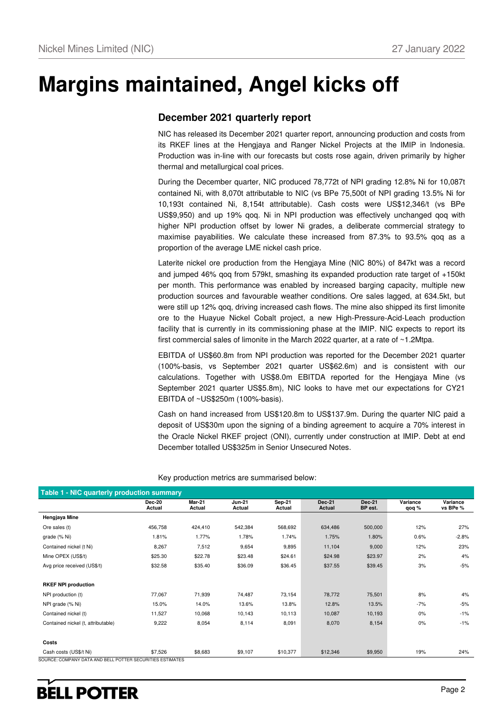# **Margins maintained, Angel kicks off**

### **December 2021 quarterly report**

NIC has released its December 2021 quarter report, announcing production and costs from its RKEF lines at the Hengjaya and Ranger Nickel Projects at the IMIP in Indonesia. Production was in-line with our forecasts but costs rose again, driven primarily by higher thermal and metallurgical coal prices.

During the December quarter, NIC produced 78,772t of NPI grading 12.8% Ni for 10,087t contained Ni, with 8,070t attributable to NIC (vs BPe 75,500t of NPI grading 13.5% Ni for 10,193t contained Ni, 8,154t attributable). Cash costs were US\$12,346/t (vs BPe US\$9,950) and up 19% qoq. Ni in NPI production was effectively unchanged qoq with higher NPI production offset by lower Ni grades, a deliberate commercial strategy to maximise payabilities. We calculate these increased from 87.3% to 93.5% qoq as a proportion of the average LME nickel cash price.

Laterite nickel ore production from the Hengjaya Mine (NIC 80%) of 847kt was a record and jumped 46% qoq from 579kt, smashing its expanded production rate target of +150kt per month. This performance was enabled by increased barging capacity, multiple new production sources and favourable weather conditions. Ore sales lagged, at 634.5kt, but were still up 12% qoq, driving increased cash flows. The mine also shipped its first limonite ore to the Huayue Nickel Cobalt project, a new High-Pressure-Acid-Leach production facility that is currently in its commissioning phase at the IMIP. NIC expects to report its first commercial sales of limonite in the March 2022 quarter, at a rate of ~1.2Mtpa.

EBITDA of US\$60.8m from NPI production was reported for the December 2021 quarter (100%-basis, vs September 2021 quarter US\$62.6m) and is consistent with our calculations. Together with US\$8.0m EBITDA reported for the Hengjaya Mine (vs September 2021 quarter US\$5.8m), NIC looks to have met our expectations for CY21 EBITDA of ~US\$250m (100%-basis).

Cash on hand increased from US\$120.8m to US\$137.9m. During the quarter NIC paid a deposit of US\$30m upon the signing of a binding agreement to acquire a 70% interest in the Oracle Nickel RKEF project (ONI), currently under construction at IMIP. Debt at end December totalled US\$325m in Senior Unsecured Notes.

| <b>Mar-21</b><br>Actual | <b>Jun-21</b><br>Actual                                   | Sep-21   | Dec-21   | Dec-21  | Variance | Variance |
|-------------------------|-----------------------------------------------------------|----------|----------|---------|----------|----------|
|                         |                                                           | Actual   | Actual   | BP est. | qoq %    | vs BPe % |
|                         |                                                           |          |          |         |          |          |
| 424,410                 | 542,384                                                   | 568,692  | 634,486  | 500,000 | 12%      | 27%      |
| 1.77%                   | 1.78%                                                     | 1.74%    | 1.75%    | 1.80%   | 0.6%     | $-2.8%$  |
| 7,512                   | 9,654                                                     | 9,895    | 11,104   | 9,000   | 12%      | 23%      |
| \$22.78                 | \$23.48                                                   | \$24.61  | \$24.98  | \$23.97 | 2%       | 4%       |
| \$35.40                 | \$36.09                                                   | \$36.45  | \$37.55  | \$39.45 | 3%       | -5%      |
|                         |                                                           |          |          |         |          |          |
|                         |                                                           |          |          |         |          |          |
| 71,939                  | 74,487                                                    | 73,154   | 78,772   | 75,501  | 8%       | 4%       |
| 14.0%                   | 13.6%                                                     | 13.8%    | 12.8%    | 13.5%   | $-7%$    | -5%      |
| 10,068                  | 10,143                                                    | 10,113   | 10,087   | 10,193  | 0%       | $-1%$    |
| 8,054                   | 8,114                                                     | 8,091    | 8,070    | 8,154   | 0%       | $-1%$    |
|                         |                                                           |          |          |         |          |          |
|                         |                                                           |          |          |         |          |          |
| \$8,683                 | \$9,107                                                   | \$10,377 | \$12,346 | \$9,950 | 19%      | 24%      |
|                         | SOURCE: COMPANY DATA AND BELL POTTER SECURITIES ESTIMATES |          |          |         |          |          |

Key production metrics are summarised below: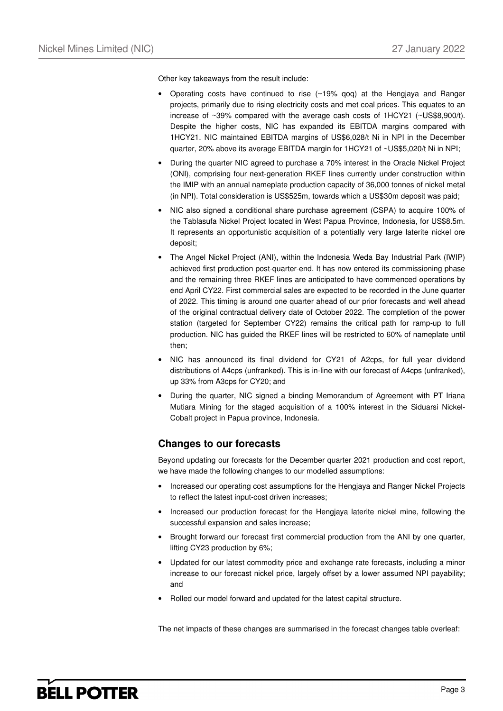Other key takeaways from the result include:

- Operating costs have continued to rise (~19% qoq) at the Hengjaya and Ranger projects, primarily due to rising electricity costs and met coal prices. This equates to an increase of ~39% compared with the average cash costs of 1HCY21 (~US\$8,900/t). Despite the higher costs, NIC has expanded its EBITDA margins compared with 1HCY21. NIC maintained EBITDA margins of US\$6,028/t Ni in NPI in the December quarter, 20% above its average EBITDA margin for 1HCY21 of ~US\$5,020/t Ni in NPI;
- During the quarter NIC agreed to purchase a 70% interest in the Oracle Nickel Project (ONI), comprising four next-generation RKEF lines currently under construction within the IMIP with an annual nameplate production capacity of 36,000 tonnes of nickel metal (in NPI). Total consideration is US\$525m, towards which a US\$30m deposit was paid;
- NIC also signed a conditional share purchase agreement (CSPA) to acquire 100% of the Tablasufa Nickel Project located in West Papua Province, Indonesia, for US\$8.5m. It represents an opportunistic acquisition of a potentially very large laterite nickel ore deposit;
- The Angel Nickel Project (ANI), within the Indonesia Weda Bay Industrial Park (IWIP) achieved first production post-quarter-end. It has now entered its commissioning phase and the remaining three RKEF lines are anticipated to have commenced operations by end April CY22. First commercial sales are expected to be recorded in the June quarter of 2022. This timing is around one quarter ahead of our prior forecasts and well ahead of the original contractual delivery date of October 2022. The completion of the power station (targeted for September CY22) remains the critical path for ramp-up to full production. NIC has guided the RKEF lines will be restricted to 60% of nameplate until then;
- NIC has announced its final dividend for CY21 of A2cps, for full year dividend distributions of A4cps (unfranked). This is in-line with our forecast of A4cps (unfranked), up 33% from A3cps for CY20; and
- During the quarter, NIC signed a binding Memorandum of Agreement with PT Iriana Mutiara Mining for the staged acquisition of a 100% interest in the Siduarsi Nickel-Cobalt project in Papua province, Indonesia.

### **Changes to our forecasts**

Beyond updating our forecasts for the December quarter 2021 production and cost report, we have made the following changes to our modelled assumptions:

- Increased our operating cost assumptions for the Hengjaya and Ranger Nickel Projects to reflect the latest input-cost driven increases;
- Increased our production forecast for the Hengjaya laterite nickel mine, following the successful expansion and sales increase;
- Brought forward our forecast first commercial production from the ANI by one quarter, lifting CY23 production by 6%;
- Updated for our latest commodity price and exchange rate forecasts, including a minor increase to our forecast nickel price, largely offset by a lower assumed NPI payability; and
- Rolled our model forward and updated for the latest capital structure.

The net impacts of these changes are summarised in the forecast changes table overleaf: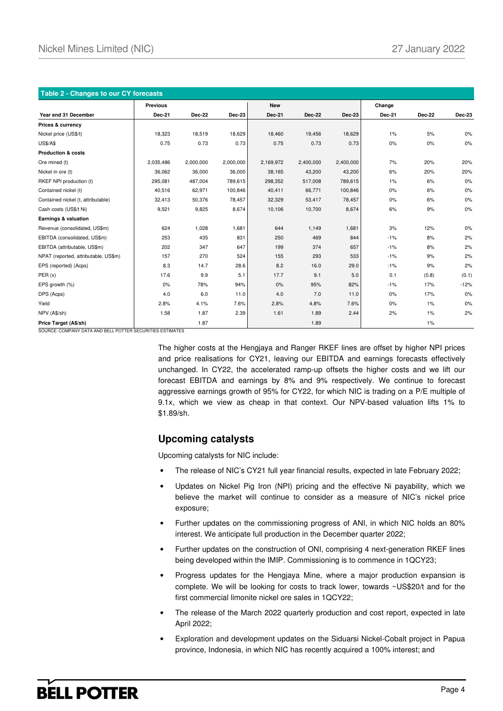| Table 2 - Changes to our CY forecasts |                 |               |               |            |               |           |        |        |        |
|---------------------------------------|-----------------|---------------|---------------|------------|---------------|-----------|--------|--------|--------|
|                                       | <b>Previous</b> |               |               | <b>New</b> |               |           | Change |        |        |
| Year end 31 December                  | <b>Dec-21</b>   | <b>Dec-22</b> | <b>Dec-23</b> | Dec-21     | <b>Dec-22</b> | Dec-23    | Dec-21 | Dec-22 | Dec-23 |
| <b>Prices &amp; currency</b>          |                 |               |               |            |               |           |        |        |        |
| Nickel price (US\$/t)                 | 18,323          | 18,519        | 18,629        | 18,460     | 19,456        | 18,629    | $1\%$  | 5%     | 0%     |
| <b>US\$/A\$</b>                       | 0.75            | 0.73          | 0.73          | 0.75       | 0.73          | 0.73      | 0%     | 0%     | 0%     |
| <b>Production &amp; costs</b>         |                 |               |               |            |               |           |        |        |        |
| Ore mined (t)                         | 2,035,486       | 2,000,000     | 2,000,000     | 2,169,972  | 2,400,000     | 2,400,000 | 7%     | 20%    | 20%    |
| Nickel in ore (t)                     | 36,062          | 36,000        | 36,000        | 38,165     | 43,200        | 43,200    | 6%     | 20%    | 20%    |
| RKEF NPI production (t)               | 295,081         | 487,004       | 789,615       | 298,352    | 517,008       | 789,615   | $1\%$  | 6%     | 0%     |
| Contained nickel (t)                  | 40,516          | 62,971        | 100,846       | 40,411     | 66,771        | 100,846   | 0%     | 6%     | $0\%$  |
| Contained nickel (t, attributable)    | 32,413          | 50,376        | 78,457        | 32,329     | 53,417        | 78,457    | 0%     | 6%     | $0\%$  |
| Cash costs (US\$/t Ni)                | 9,521           | 9,825         | 8,674         | 10,106     | 10,700        | 8,674     | 6%     | 9%     | 0%     |
| Earnings & valuation                  |                 |               |               |            |               |           |        |        |        |
| Revenue (consolidated, US\$m)         | 624             | 1,028         | 1,681         | 644        | 1,149         | 1,681     | 3%     | 12%    | 0%     |
| EBITDA (consolidated, US\$m)          | 253             | 435           | 831           | 250        | 469           | 844       | $-1%$  | 8%     | 2%     |
| EBITDA (attributable, US\$m)          | 202             | 347           | 647           | 199        | 374           | 657       | $-1%$  | 8%     | 2%     |
| NPAT (reported, attributable, US\$m)  | 157             | 270           | 524           | 155        | 293           | 533       | $-1%$  | 9%     | 2%     |
| EPS (reported) (Acps)                 | 8.3             | 14.7          | 28.6          | 8.2        | 16.0          | 29.0      | $-1%$  | 9%     | 2%     |
| PER(x)                                | 17.6            | 9.9           | 5.1           | 17.7       | 9.1           | 5.0       | 0.1    | (0.8)  | (0.1)  |
| EPS growth (%)                        | 0%              | 78%           | 94%           | 0%         | 95%           | 82%       | $-1%$  | 17%    | $-12%$ |
| DPS (Acps)                            | 4.0             | 6.0           | 11.0          | 4.0        | 7.0           | 11.0      | 0%     | 17%    | $0\%$  |
| Yield                                 | 2.8%            | 4.1%          | 7.6%          | 2.8%       | 4.8%          | 7.6%      | 0%     | $1\%$  | $0\%$  |
| NPV (A\$/sh)                          | 1.58            | 1.87          | 2.39          | 1.61       | 1.89          | 2.44      | 2%     | $1\%$  | 2%     |
| Price Target (A\$/sh)                 |                 | 1.87          |               |            | 1.89          |           |        | $1\%$  |        |

SOURCE: COMPANY DATA AND BELL POTTER SECURITIES ESTIMATES

The higher costs at the Hengjaya and Ranger RKEF lines are offset by higher NPI prices and price realisations for CY21, leaving our EBITDA and earnings forecasts effectively unchanged. In CY22, the accelerated ramp-up offsets the higher costs and we lift our forecast EBITDA and earnings by 8% and 9% respectively. We continue to forecast aggressive earnings growth of 95% for CY22, for which NIC is trading on a P/E multiple of 9.1x, which we view as cheap in that context. Our NPV-based valuation lifts 1% to \$1.89/sh.

### **Upcoming catalysts**

Upcoming catalysts for NIC include:

- The release of NIC's CY21 full year financial results, expected in late February 2022;
- Updates on Nickel Pig Iron (NPI) pricing and the effective Ni payability, which we believe the market will continue to consider as a measure of NIC's nickel price exposure;
- Further updates on the commissioning progress of ANI, in which NIC holds an 80% interest. We anticipate full production in the December quarter 2022;
- Further updates on the construction of ONI, comprising 4 next-generation RKEF lines being developed within the IMIP. Commissioning is to commence in 1QCY23;
- Progress updates for the Hengjaya Mine, where a major production expansion is complete. We will be looking for costs to track lower, towards ~US\$20/t and for the first commercial limonite nickel ore sales in 1QCY22;
- The release of the March 2022 quarterly production and cost report, expected in late April 2022;
- Exploration and development updates on the Siduarsi Nickel-Cobalt project in Papua province, Indonesia, in which NIC has recently acquired a 100% interest; and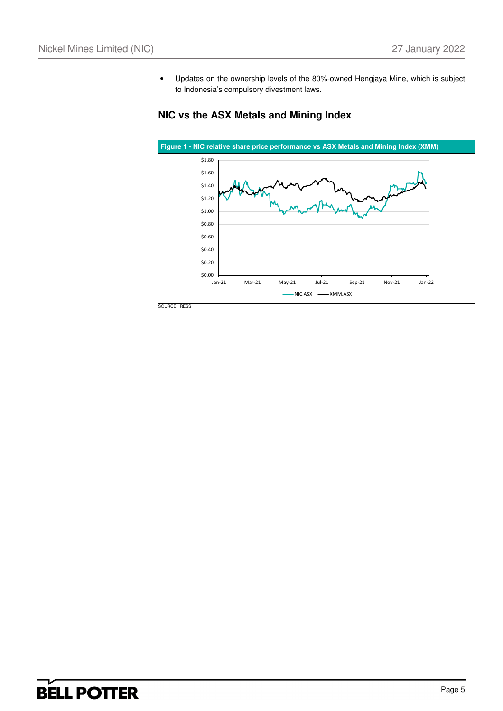• Updates on the ownership levels of the 80%-owned Hengjaya Mine, which is subject to Indonesia's compulsory divestment laws.

### **NIC vs the ASX Metals and Mining Index**

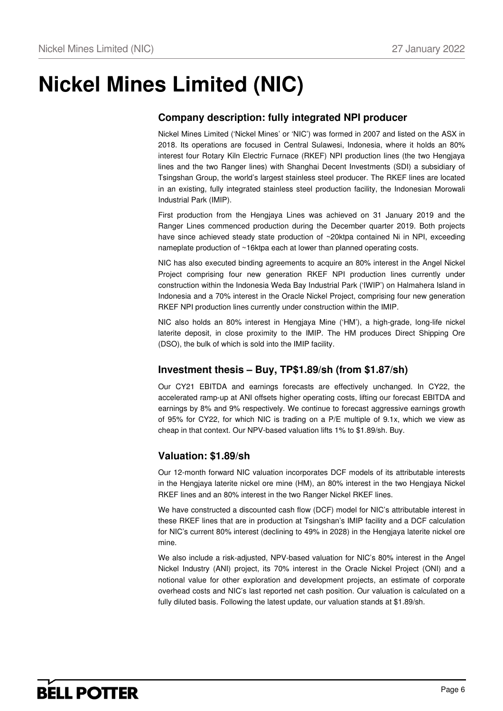# **Nickel Mines Limited (NIC)**

## **Company description: fully integrated NPI producer**

Nickel Mines Limited ('Nickel Mines' or 'NIC') was formed in 2007 and listed on the ASX in 2018. Its operations are focused in Central Sulawesi, Indonesia, where it holds an 80% interest four Rotary Kiln Electric Furnace (RKEF) NPI production lines (the two Hengjaya lines and the two Ranger lines) with Shanghai Decent Investments (SDI) a subsidiary of Tsingshan Group, the world's largest stainless steel producer. The RKEF lines are located in an existing, fully integrated stainless steel production facility, the Indonesian Morowali Industrial Park (IMIP).

First production from the Hengjaya Lines was achieved on 31 January 2019 and the Ranger Lines commenced production during the December quarter 2019. Both projects have since achieved steady state production of ~20ktpa contained Ni in NPI, exceeding nameplate production of ~16ktpa each at lower than planned operating costs.

NIC has also executed binding agreements to acquire an 80% interest in the Angel Nickel Project comprising four new generation RKEF NPI production lines currently under construction within the Indonesia Weda Bay Industrial Park ('IWIP') on Halmahera Island in Indonesia and a 70% interest in the Oracle Nickel Project, comprising four new generation RKEF NPI production lines currently under construction within the IMIP.

NIC also holds an 80% interest in Hengjaya Mine ('HM'), a high-grade, long-life nickel laterite deposit, in close proximity to the IMIP. The HM produces Direct Shipping Ore (DSO), the bulk of which is sold into the IMIP facility.

### **Investment thesis – Buy, TP\$1.89/sh (from \$1.87/sh)**

Our CY21 EBITDA and earnings forecasts are effectively unchanged. In CY22, the accelerated ramp-up at ANI offsets higher operating costs, lifting our forecast EBITDA and earnings by 8% and 9% respectively. We continue to forecast aggressive earnings growth of 95% for CY22, for which NIC is trading on a P/E multiple of 9.1x, which we view as cheap in that context. Our NPV-based valuation lifts 1% to \$1.89/sh. Buy.

## **Valuation: \$1.89/sh**

Our 12-month forward NIC valuation incorporates DCF models of its attributable interests in the Hengjaya laterite nickel ore mine (HM), an 80% interest in the two Hengjaya Nickel RKEF lines and an 80% interest in the two Ranger Nickel RKEF lines.

We have constructed a discounted cash flow (DCF) model for NIC's attributable interest in these RKEF lines that are in production at Tsingshan's IMIP facility and a DCF calculation for NIC's current 80% interest (declining to 49% in 2028) in the Hengjaya laterite nickel ore mine.

We also include a risk-adjusted, NPV-based valuation for NIC's 80% interest in the Angel Nickel Industry (ANI) project, its 70% interest in the Oracle Nickel Project (ONI) and a notional value for other exploration and development projects, an estimate of corporate overhead costs and NIC's last reported net cash position. Our valuation is calculated on a fully diluted basis. Following the latest update, our valuation stands at \$1.89/sh.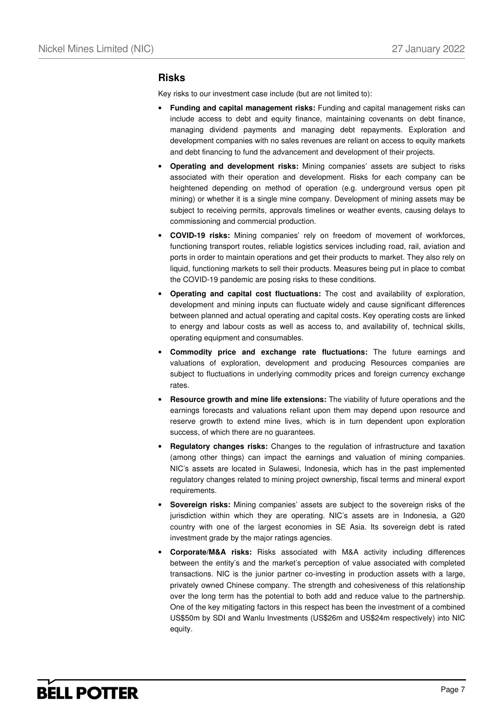### **Risks**

Key risks to our investment case include (but are not limited to):

- **Funding and capital management risks:** Funding and capital management risks can include access to debt and equity finance, maintaining covenants on debt finance, managing dividend payments and managing debt repayments. Exploration and development companies with no sales revenues are reliant on access to equity markets and debt financing to fund the advancement and development of their projects.
- **Operating and development risks:** Mining companies' assets are subject to risks associated with their operation and development. Risks for each company can be heightened depending on method of operation (e.g. underground versus open pit mining) or whether it is a single mine company. Development of mining assets may be subject to receiving permits, approvals timelines or weather events, causing delays to commissioning and commercial production.
- **COVID-19 risks:** Mining companies' rely on freedom of movement of workforces, functioning transport routes, reliable logistics services including road, rail, aviation and ports in order to maintain operations and get their products to market. They also rely on liquid, functioning markets to sell their products. Measures being put in place to combat the COVID-19 pandemic are posing risks to these conditions.
- **Operating and capital cost fluctuations:** The cost and availability of exploration, development and mining inputs can fluctuate widely and cause significant differences between planned and actual operating and capital costs. Key operating costs are linked to energy and labour costs as well as access to, and availability of, technical skills, operating equipment and consumables.
- **Commodity price and exchange rate fluctuations:** The future earnings and valuations of exploration, development and producing Resources companies are subject to fluctuations in underlying commodity prices and foreign currency exchange rates.
- **Resource growth and mine life extensions:** The viability of future operations and the earnings forecasts and valuations reliant upon them may depend upon resource and reserve growth to extend mine lives, which is in turn dependent upon exploration success, of which there are no guarantees.
- **Regulatory changes risks:** Changes to the regulation of infrastructure and taxation (among other things) can impact the earnings and valuation of mining companies. NIC's assets are located in Sulawesi, Indonesia, which has in the past implemented regulatory changes related to mining project ownership, fiscal terms and mineral export requirements.
- **Sovereign risks:** Mining companies' assets are subject to the sovereign risks of the jurisdiction within which they are operating. NIC's assets are in Indonesia, a G20 country with one of the largest economies in SE Asia. Its sovereign debt is rated investment grade by the major ratings agencies.
- **Corporate/M&A risks:** Risks associated with M&A activity including differences between the entity's and the market's perception of value associated with completed transactions. NIC is the junior partner co-investing in production assets with a large, privately owned Chinese company. The strength and cohesiveness of this relationship over the long term has the potential to both add and reduce value to the partnership. One of the key mitigating factors in this respect has been the investment of a combined US\$50m by SDI and Wanlu Investments (US\$26m and US\$24m respectively) into NIC equity.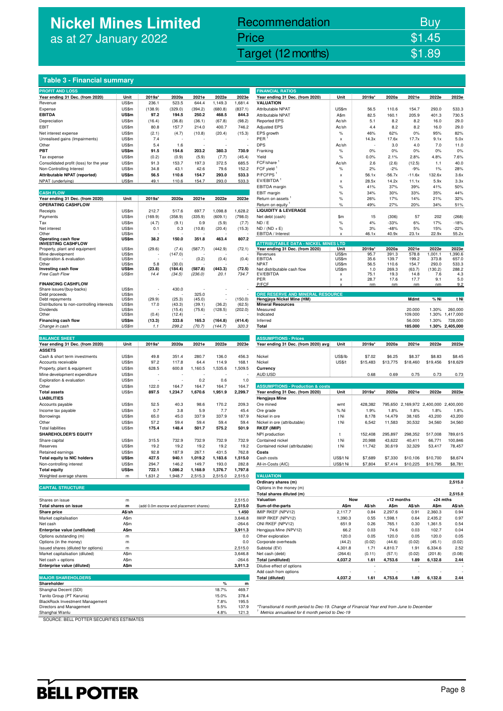## **Nickel Mines Limited**  as at 27 January 2022

## Recommendation Buy Price \$1.45

Nickel Mines Limited (Nickel Mines Limited (Nickel Mines Limited (Nickel Mines Limited St. 2022)

| Table 3 - Financial summary |
|-----------------------------|
|                             |
|                             |

| <b>PROFIT AND LOSS</b>                                              |                |               |                                        |                |                |                     | <b>FINANCIAL RATIOS</b>                                                              |                    |                |                   |                                       |                |                      |
|---------------------------------------------------------------------|----------------|---------------|----------------------------------------|----------------|----------------|---------------------|--------------------------------------------------------------------------------------|--------------------|----------------|-------------------|---------------------------------------|----------------|----------------------|
| Year ending 31 Dec. (from 2020)                                     | Unit           | 2019a*        | 2020a                                  | 2021e          | 2022e          | 2023e               | Year ending 31 Dec. (from 2020)                                                      | Unit               | 2019a*         | 2020a             | 2021e                                 | 2022e          | 2023e                |
| Revenue                                                             | US\$m          | 236.1         | 523.5                                  | 644.4          | 1,149.3        | 1,681.4             | <b>VALUATION</b>                                                                     |                    |                |                   |                                       |                |                      |
| Expense                                                             | US\$m          | (138.9)       | (329.0)                                | (394.2)        | (680.8)        | (837.1)             | Attributable NPAT                                                                    | US\$m              | 56.5           | 110.6             | 154.7                                 | 293.0          | 533.3                |
| <b>EBITDA</b>                                                       | US\$m          | 97.2          | 194.5                                  | 250.2          | 468.5          | 844.3               | <b>Attributable NPAT</b>                                                             | A\$m               | 82.5           | 160.1             | 205.9                                 | 401.3          | 730.5                |
| Depreciation                                                        | US\$m          | (16.4)        | (36.8)                                 | (36.1)         | (67.8)         | (98.2)              | <b>Reported EPS</b>                                                                  | Ac/sh              | 5.1            | 8.2               | 8.2                                   | 16.0           | 29.0                 |
| EBIT                                                                | US\$m          | 80.8          | 157.7                                  | 214.0          | 400.7          | 746.2               | <b>Adjusted EPS</b>                                                                  | Ac/sh              | 4.4            | 8.2               | 8.2                                   | 16.0           | 29.0                 |
| Net interest expense                                                | US\$m          | (2.1)         | (4.7)                                  | (10.8)         | (20.4)         | (15.3)              | EPS growth                                                                           | $\%$               | 46%            | 62%               | 0%                                    | 95%            | 82%                  |
| Unrealised gains (Impairments)                                      | US\$m          | 7.4           |                                        |                |                |                     | PER                                                                                  | x                  | 14.3x          | 17.6x             | 17.7x                                 | 9.1x           | 5.0x                 |
| Other                                                               | US\$m          | 5.4           | 1.6                                    |                |                | 730.9               | <b>DPS</b>                                                                           | Ac/sh              |                | 3.0               | 4.0                                   | 7.0            | 11.0                 |
| PBT                                                                 | US\$m          | 91.5          | 154.6                                  | 203.2          | 380.3          |                     | Franking                                                                             | $\%$               | 0%             | 0%                | 0%                                    | 0%             | 0%                   |
| Tax expense                                                         | US\$m<br>US\$m | (0.2)<br>91.3 | (0.9)                                  | (5.9)<br>197.3 | (7.7)<br>372.5 | (45.4)<br>685.5     | Yield<br>FCF/share                                                                   | $\%$               | 0.0%           | 2.1%              | 2.8%                                  | 4.8%           | 7.6%                 |
| Consolidated profit (loss) for the year<br>Non-Controlling Interest |                |               | 153.7                                  |                |                |                     | FCF yield                                                                            | Ac/sh              | 2.6            | (2.6)             | (12.5)                                | 1.1            | 40.0                 |
| Attributable NPAT (reported)                                        | US\$m<br>US\$m | 34.8<br>56.5  | 43.1<br>110.6                          | 42.6<br>154.7  | 79.6<br>293.0  | 152.2<br>533.3      | P/FCFPS                                                                              | $\%$               | 2%             | $-2%$             | $-9%$                                 | 1%             | 28%                  |
| NPAT (underlying)                                                   | US\$m          | 49.1          | 110.6                                  | 154.7          | 293.0          | 533.3               | EV/EBITDA <sup>1</sup>                                                               | x<br>x             | 56.1x<br>28.5x | $-56.7x$<br>14.2x | $-11.6x$<br>11.1x                     | 132.6x<br>5.9x | 3.6x<br>3.3x         |
|                                                                     |                |               |                                        |                |                |                     | EBITDA margin                                                                        | %                  | 41%            | 37%               | 39%                                   | 41%            | 50%                  |
| <b>CASH FLOW</b>                                                    |                |               |                                        |                |                |                     | EBIT margin                                                                          | $\%$               | 34%            | 30%               | 33%                                   | 35%            | 44%                  |
| Year ending 31 Dec. (from 2020)                                     | Unit           | 2019a*        | 2020a                                  | 2021e          | 2022e          | 2023e               | Return on assets                                                                     | $\%$               | 26%            | 17%               | 14%                                   | 21%            | 32%                  |
| <b>OPERATING CASHFLOW</b>                                           |                |               |                                        |                |                |                     | Return on equity                                                                     | $\%$               | 49%            | 27%               | 20%                                   | 34%            | 51%                  |
| Receipts                                                            | US\$m          | 212.7         | 517.6                                  | 697.7          | 1,098.8        | 1,628.2             | <b>LIQUIDITY &amp; LEVERAGE</b>                                                      |                    |                |                   |                                       |                |                      |
| Payments                                                            | US\$m          | (169.9)       | (358.9)                                | (335.9)        | (609.1)        | (798.0)             | Net debt (cash)                                                                      | \$m                | 15             | (306)             | 57                                    | 202            | (268)                |
| Tax                                                                 | US\$m          | (4.7)         | (9.1)                                  | 0.9            | (5.9)          | (7.7)               | ND / E                                                                               | $\%$               | 4%             | $-33%$            | 6%                                    | 17%            | $-18%$               |
| Net interest                                                        | US\$m          | 0.1           | 0.3                                    | (10.8)         | (20.4)         | (15.3)              | $ND / (ND + E)$                                                                      | $\%$               | 3%             | $-48%$            | 5%                                    | 15%            | $-22%$               |
| Other                                                               | US\$m          |               |                                        |                |                |                     | EBITDA / Interest                                                                    | x                  | 46.1x          | 40.9x             | 23.1x                                 | 22.9x          | 55.2x                |
| Operating cash flow                                                 | US\$m          | 38.2          | 150.0                                  | 351.8          | 463.4          | 807.2               |                                                                                      |                    |                |                   |                                       |                |                      |
| <b>INVESTING CASHFLOW</b>                                           |                |               |                                        |                |                |                     | <b>ATTRIBUTABLE DATA - NICKEL MINES</b>                                              | <b>LTD</b>         | 2019a*         | 2020a             | 2021e                                 | 2022e          | 2023e                |
| Property, plant and equipment<br>Mine development                   | US\$m<br>US\$m | (29.6)        | (7.4)<br>(147.0)                       | (587.7)        | (442.9)        | (72.1)              | Year ending 31 Dec. (from 2020)<br>Revenues                                          | Unit<br>US\$m      | 95.7           | 391.3             | 578.8                                 | 1,001.1        | 1,390.6              |
| Exploration & evaluation                                            | US\$m          |               |                                        | (0.2)          | (0.4)          | (0.4)               | EBITDA                                                                               | US\$m              | 35.6           | 139.7             | 199.2                                 | 373.8          | 657.0                |
| Other                                                               | US\$m          | 5.8           | (30.0)                                 |                |                |                     | <b>NPAT</b>                                                                          | US\$m              | 56.5           | 110.6             | 154.7                                 | 293.0          | 533.3                |
| Investing cash flow                                                 | US\$m          | (23.8)        | (184.4)                                | (587.8)        | (443.3)        | (72.5)              | Net distributable cash flow                                                          | US\$m              | 1.0            | 269.3             | (63.7)                                | (130.2)        | 288.2                |
| Free Cash Flow                                                      | US\$m          | 14.4          | (34.5)                                 | (236.0)        | 20.1           | 734.7               | EV/EBITDA                                                                            | x                  | 75.1           | 19.3              | 14.8                                  | 7.6            | 4.3                  |
| <b>FINANCING CASHFLOW</b>                                           |                |               |                                        |                |                |                     | PER<br>P/FCF                                                                         | x                  | 28.7<br>nm     | 17.6<br>nm        | 17.7<br>nm                            | 9.1<br>nm      | 5.0<br>9.2           |
| Share issues/(buy-backs)                                            | US\$m          |               | 430.0                                  |                |                |                     |                                                                                      |                    |                |                   |                                       |                |                      |
| Debt proceeds                                                       | US\$m          |               |                                        | 325.0          |                |                     | ORE RESERVE AND MINERAL RESOURCE                                                     |                    |                |                   |                                       |                |                      |
| Debt repayments                                                     | US\$m          | (29.9)        | (25.3)                                 | (45.0)         |                | (150.0)             | Hengjaya Nickel Mine (HM)                                                            |                    |                |                   | Mdmt                                  | % Ni           | t Ni                 |
| Distributions to non-controlling interests                          | US\$m          | 17.0          | (43.3)                                 | (39.1)         | (36.2)         | (62.5)              | <b>Mineral Resources</b>                                                             |                    |                |                   |                                       |                |                      |
| Dividends<br>Other                                                  | US\$m<br>US\$m | (0.4)         | (15.4)<br>(12.4)                       | (75.6)         | (128.5)        | (202.0)             | Measured<br>Indicated                                                                |                    |                |                   | 20.000<br>109.000                     | 1.30%<br>1.30% | 260,000<br>1,417,000 |
| Financing cash flow                                                 | US\$m          | (13.3)        | 333.6                                  | 165.3          | (164.8)        | (414.4)             | Inferred                                                                             |                    |                |                   | 56.000                                | 1.30%          | 728,000              |
| Change in cash                                                      | US\$m          | 1.1           | 299.2                                  | (70.7)         | (144.7)        | 320.3               | Total                                                                                |                    |                |                   | 185.000                               |                | 1.30% 2,405,000      |
|                                                                     |                |               |                                        |                |                |                     |                                                                                      |                    |                |                   |                                       |                |                      |
| <b>BALANCE SHEET</b>                                                |                |               |                                        |                |                |                     | <b>ASSUMPTIONS - Prices</b>                                                          |                    |                |                   |                                       |                |                      |
| Year ending 31 Dec. (from 2020)                                     | Unit           | 2019a*        | 2020a                                  | 2021e          | 2022e          | 2023e               | Year ending 31 Dec. (from 2020) avg                                                  | Unit               | 2019a*         | 2020a             | 2021e                                 | 2022e          | 2023e                |
| <b>ASSETS</b>                                                       |                |               |                                        |                |                |                     |                                                                                      |                    |                |                   |                                       |                |                      |
| Cash & short term investments                                       | US\$m          | 49.8          | 351.4                                  | 280.7          | 136.0          | 456.3               | Nickel                                                                               | US\$/lb            | \$7.02         | \$6.25            | \$8.37                                | \$8.83         | \$8.45               |
| Accounts receivable                                                 | US\$m          | 97.2          | 117.8                                  | 64.4           | 114.9          | 168.1               | Nickel                                                                               | US\$/t             | \$15,483       | \$13,775          | \$18,460                              | \$19,456       | \$18,629             |
| Property, plant & equipment                                         | US\$m          | 628.5         | 600.8                                  | 1,160.5        | 1,535.6        | 1,509.5             | Currency                                                                             |                    |                |                   |                                       |                |                      |
| Mine development expenditure                                        | US\$m          |               |                                        |                |                |                     | AUD:USD                                                                              |                    | 0.68           | 0.69              | 0.75                                  | 0.73           | 0.73                 |
| Exploration & evaluation                                            | US\$m          |               |                                        | 0.2            | 0.6            | 1.0                 |                                                                                      |                    |                |                   |                                       |                |                      |
| Other                                                               | US\$m          | 122.0         | 164.7                                  | 164.7          | 164.7          | 164.7               | <b>ASSUMPTIONS - Production &amp; costs</b>                                          |                    |                |                   |                                       |                |                      |
| <b>Total assets</b>                                                 | US\$m          | 897.5         | 1,234.7                                | 1,670.6        | 1,951.9        | 2,299.7             | Year ending 31 Dec. (from 2020)                                                      | Unit               | 2019a*         | 2020a             | 2021e                                 | 2022e          | 2023e                |
| <b>LIABILITIES</b>                                                  |                |               |                                        |                |                |                     | Hengjaya Mine                                                                        |                    |                |                   |                                       |                |                      |
| Accounts payable                                                    | US\$m          | 52.5          | 40.3                                   | 98.6           | 170.2          | 209.3               | Ore mined                                                                            | wmt                | 428,382        |                   | 795,650 2,169,972 2,400,000 2,400,000 |                |                      |
| Income tax payable                                                  | US\$m          | 0.7           | 3.8                                    | 5.9            | 7.7            | 45.4                | Ore grade                                                                            | % Ni               | 1.9%           | 1.8%              | 1.8%                                  | 1.8%           | 1.8%                 |
| Borrowings                                                          | US\$m          | 65.0          | 45.0                                   | 337.9          | 337.9          | 187.9               | Nickel in ore                                                                        | t Ni               | 8,178          | 14,479            | 38,165                                | 43,200         | 43,200               |
| Other                                                               | US\$m          | 57.2          | 59.4                                   | 59.4           | 59.4           | 59.4                | Nickel in ore (attributable)                                                         | t Ni               | 6,542          | 11,583            | 30,532                                | 34,560         | 34,560               |
| <b>Total liabilities</b>                                            | US\$m          | 175.4         | 148.4                                  | 501.7          | 575.2          | 501.9               | <b>RKEF (IMIP)</b>                                                                   |                    |                |                   |                                       |                |                      |
| <b>SHAREHOLDER'S EQUITY</b>                                         |                |               |                                        |                |                |                     | NPI production                                                                       | t                  | 152,408        | 295,897           | 298,352                               | 517,008        | 789,615              |
| Share capital                                                       | US\$m          | 315.5         | 732.9                                  | 732.9          | 732.9          | 732.9               | Contained nickel                                                                     | t Ni               | 20,988         | 43,622            | 40,411                                | 66,771         | 100,846              |
| Reserves                                                            | US\$m          | 19.2          | 19.2                                   | 19.2           | 19.2           | 19.2                | Contained nickel (attributable)                                                      | t Ni               | 11,742         | 30,619            | 32,329                                | 53,417         | 78,457               |
| Retained earnings                                                   | US\$m          | 92.8          | 187.9                                  | 267.1          | 431.5          | 762.8               | Costs                                                                                |                    |                |                   |                                       |                |                      |
| <b>Total equity to NIC holders</b>                                  | US\$m          | 427.5         | 940.1                                  | 1,019.2        | 1,183.6        | 1,515.0             | Cash costs                                                                           | US\$/t Ni          | \$7,689        | \$7,330           | \$10,106                              | \$10,700       | \$8,674              |
| Non-controlling interest                                            | US\$m          | 294.7         | 146.2                                  | 149.7          | 193.0          | 282.8               | All-in-Costs (AIC)                                                                   | US\$/t Ni          | \$7,804        | \$7,414           | \$10,225                              | \$10,795       | \$8,781              |
| <b>Total equity</b>                                                 | US\$m          | 722.1         | 1,086.2                                | 1,168.9        | 1,376.7        | 1,797.8             |                                                                                      |                    |                |                   |                                       |                |                      |
| Weighted average shares                                             | m              | 1,631.2       | 1,948.7                                | 2,515.3        | 2,515.0        | 2,515.0             | <b>VALUATION</b>                                                                     |                    |                |                   |                                       |                |                      |
|                                                                     |                |               |                                        |                |                |                     | Ordinary shares (m)                                                                  |                    |                |                   |                                       |                | 2,515.0              |
| <b>CAPITAL STRUCTURE</b>                                            |                |               |                                        |                |                |                     | Options in the money (m)                                                             |                    |                |                   |                                       |                |                      |
|                                                                     |                |               |                                        |                |                |                     | Total shares diluted (m)                                                             |                    |                |                   |                                       |                | 2,515.0              |
| Shares on issue                                                     | m              |               |                                        |                |                | 2,515.0             | Valuation                                                                            | Now                |                | +12 months        |                                       | $+24$ mths     |                      |
| Total shares on issue                                               | m              |               | (add 0.0m escrow and placement shares) |                |                | 2,515.0             | Sum-of-the-parts                                                                     | A\$m               | A\$/sh         | A\$m              | A\$/sh                                | A\$m           | A\$/sh               |
| Share price                                                         | A\$/sh         |               |                                        |                |                | 1.450               | IMIP RKEF (NPV12)                                                                    | 2,117.7            | 0.84           | 2,297.6           | 0.91                                  | 2,360.3        | 0.94                 |
| Market capitalisation                                               | A\$m           |               |                                        |                |                | 3,646.8             | IWIP RKEF (NPV12)                                                                    | 1,390.3            | 0.55           | 1,598.1           | 0.64                                  | 2,435.2        | 0.97                 |
| Net cash                                                            | A\$m           |               |                                        |                |                | $-264.6$            | ONI RKEF (NPV12)                                                                     | 651.9              | 0.26           | 765.1             | 0.30                                  | 1,361.5        | 0.54                 |
| Enterprise value (undiluted)                                        | A\$m           |               |                                        |                |                | 3,911.3             | Hengjaya Mine (NPV12)<br>Other exploration                                           | 66.2               | 0.03           | 74.6              | 0.03                                  | 102.7          | 0.04                 |
| Options outstanding (m)                                             | m              |               |                                        |                |                | 0.0                 |                                                                                      | 120.0              | 0.05           | 120.0             | 0.05                                  | 120.0          | 0.05                 |
| Options (in the money)                                              | m              |               |                                        |                |                | 0.0                 | Corporate overheads                                                                  | (44.2)             | (0.02)         | (44.6)            | (0.02)                                | (45.1)         | (0.02)               |
| Issued shares (diluted for options)                                 | m              |               |                                        |                |                | 2,515.0             | Subtotal (EV)                                                                        | 4,301.8            | 1.71           | 4,810.7           | 1.91                                  | 6,334.6        | 2.52                 |
| Market capitalisation (diluted)                                     | A\$m           |               |                                        |                |                | 3,646.8             | Net cash (debt)<br>Total (undiluted)                                                 | (264.6)<br>4,037.2 | (0.11)<br>1.61 | (57.1)<br>4,753.6 | (0.02)                                | (201.8)        | (0.08)               |
| Net cash + options<br>Enterprise value (diluted)                    | A\$m<br>A\$m   |               |                                        |                |                | $-264.6$<br>3,911.3 | Dilutive effect of options                                                           |                    |                |                   | 1.89                                  | 6,132.8        | 2.44                 |
|                                                                     |                |               |                                        |                |                |                     | Add cash from options                                                                |                    | ٠              |                   | ÷                                     |                |                      |
| <b>MAJOR SHAREHOLDERS</b>                                           |                |               |                                        |                |                |                     | <b>Total (diluted)</b>                                                               | 4,037.2            | 1.61           | 4,753.6           | 1.89                                  | 6,132.8        | 2.44                 |
| Shareholder                                                         |                |               |                                        |                | %              | m                   |                                                                                      |                    |                |                   |                                       |                |                      |
| Shanghai Decent (SDI)                                               |                |               |                                        |                | 18.7%          | 469.7               |                                                                                      |                    |                |                   |                                       |                |                      |
| Tanito Group (PT Karunia)                                           |                |               |                                        |                | 15.0%          | 378.4               |                                                                                      |                    |                |                   |                                       |                |                      |
| BlackRock Investment Management                                     |                |               |                                        |                | 7.8%           | 195.5               |                                                                                      |                    |                |                   |                                       |                |                      |
|                                                                     |                |               |                                        |                |                | 1970                | *Transitional 6 month poriod to Doe 10. Change of Einapoial Voar ond from June to Dr |                    |                |                   |                                       |                |                      |

| <b>FINANCIAL RATIOS</b>                             |               |                   |                   |                                       |                    |                    |
|-----------------------------------------------------|---------------|-------------------|-------------------|---------------------------------------|--------------------|--------------------|
| Year ending 31 Dec. (from 2020)                     | Unit          | 2019a*            | 2020a             | 2021e                                 | 2022e              | 2023e              |
| <b>VALUATION</b><br>Attributable NPAT               | US\$m         | 56.5              | 110.6             | 154.7                                 | 293.0              | 533.3              |
| Attributable NPAT                                   | A\$m          | 82.5              | 160.1             | 205.9                                 | 401.3              | 730.5              |
| <b>Reported EPS</b>                                 | Ac/sh         | 5.1               | 8.2               | 8.2                                   | 16.0               | 29.0               |
| <b>Adjusted EPS</b>                                 | Ac/sh         | 4.4               | 8.2               | 8.2                                   | 16.0               | 29.0               |
| EPS growth                                          | %             | 46%               | 62%               | 0%                                    | 95%                | 82%                |
| PER <sup>1</sup>                                    | x             | 14.3x             | 17.6x             | 17.7x                                 | 9.1x               | 5.0x               |
| <b>DPS</b>                                          | Ac/sh<br>$\%$ | 0%                | 3.0<br>0%         | 4.0<br>0%                             | 7.0<br>0%          | 11.0<br>0%         |
| Franking<br>Yield                                   | %             | 0.0%              | 2.1%              | 2.8%                                  | 4.8%               | 7.6%               |
| FCF/share <sup>1</sup>                              | Ac/sh         | 2.6               | (2.6)             | (12.5)                                | 1.1                | 40.0               |
| FCF yield <sup>1</sup>                              | %             | 2%                | $-2%$             | $-9%$                                 | 1%                 | 28%                |
| P/FCFPS <sup>1</sup>                                | x             | 56.1x             | $-56.7x$          | $-11.6x$                              | 132.6x             | 3.6x               |
| EV/EBITDA <sup>1</sup>                              | x             | 28.5x             | 14.2x             | 11.1x                                 | 5.9x               | 3.3x               |
| EBITDA margin<br>EBIT margin                        | %<br>%        | 41%<br>34%        | 37%<br>30%        | 39%<br>33%                            | 41%<br>35%         | 50%<br>44%         |
| Return on assets                                    | $\%$          | 26%               | 17%               | 14%                                   | 21%                | 32%                |
| Return on equity                                    | $\%$          | 49%               | 27%               | 20%                                   | 34%                | 51%                |
| <b>LIQUIDITY &amp; LEVERAGE</b>                     |               |                   |                   |                                       |                    |                    |
| Net debt (cash)                                     | \$m           | 15                | (306)             | 57                                    | 202                | (268)              |
| ND / E                                              | %             | 4%                | $-33%$            | 6%                                    | 17%                | $-18%$             |
| $ND / (ND + E)$<br>EBITDA / Interest                | %<br>x        | 3%                | $-48%$<br>40.9x   | 5%<br>23.1x                           | 15%<br>22.9x       | $-22%$<br>55.2x    |
|                                                     |               | 46.1x             |                   |                                       |                    |                    |
| <b>ATTRIBUTABLE DATA - NICKEL MINES LTD</b>         |               |                   |                   |                                       |                    |                    |
| Year ending 31 Dec. (from 2020)<br>Revenues         | Unit<br>US\$m | 2019a*<br>95.7    | 2020a<br>391.3    | 2021e<br>578.8                        | 2022e<br>1,001.1   | 2023e<br>1,390.6   |
| <b>EBITDA</b>                                       | US\$m         | 35.6              | 139.7             | 199.2                                 | 373.8              | 657.0              |
| NPAT                                                | US\$m         | 56.5              | 110.6<br>269.3    | 154.7                                 | 293.0              | 533.3              |
| Net distributable cash flow<br>EV/EBITDA            | US\$m<br>x    | 1.0<br>75.1       | 19.3              | (63.7)<br>14.8                        | (130.2)<br>7.6     | 288.2<br>4.3       |
| PER                                                 | x             | 28.7              | 17.6              | 17.7                                  | 9.1                | 5.0                |
| P/FCF                                               | x             | nm                | nm                | nm                                    | nm                 | 9.2                |
| ORE RESERVE AND MINERAL RESOURCE                    |               |                   |                   |                                       |                    |                    |
| Hengjaya Nickel Mine (HM)                           |               |                   |                   | Mdmt                                  | % Ni               | t Ni               |
| <b>Mineral Resources</b><br>Measured                |               |                   |                   | 20.000                                | 1.30%              | 260,000            |
| Indicated                                           |               |                   |                   | 109.000                               | 1.30%              | 1,417,000          |
| Inferred                                            |               |                   |                   | 56.000                                | 1.30%              | 728,000            |
| Total                                               |               |                   |                   | 185.000                               | 1.30%              | 2,405,000          |
|                                                     |               |                   |                   |                                       |                    |                    |
|                                                     |               |                   |                   |                                       |                    |                    |
| <b>ASSUMPTIONS - Prices</b>                         |               |                   |                   |                                       |                    |                    |
| Year ending 31 Dec. (from 2020) avg                 | <b>Unit</b>   | 2019a*            | 2020a             | 2021e                                 | 2022e              | 2023e              |
| Nickel                                              | US\$/lb       | \$7.02            | \$6.25            | \$8.37                                | \$8.83             | \$8.45             |
| Nickel                                              | <b>US\$/t</b> | \$15,483          | \$13,775          | \$18,460                              | \$19,456           | \$18,629           |
| Currency                                            |               |                   |                   |                                       |                    |                    |
| AUD:USD                                             |               | 0.68              | 0.69              | 0.75                                  | 0.73               | 0.73               |
|                                                     |               |                   |                   |                                       |                    |                    |
| <b>ASSUMPTIONS - Production &amp; costs</b>         |               |                   |                   |                                       |                    | 2023e              |
| Year ending 31 Dec. (from 2020)<br>Hengjaya Mine    | Unit          | 2019a*            | 2020a             |                                       | 2021e 2022e        |                    |
| Ore mined                                           | wmt           | 428,382           |                   | 795,650 2,169,972 2,400,000 2,400,000 |                    |                    |
| Ore grade                                           | % Ni          | 1.9%              | 1.8%              | 1.8%                                  | 1.8%               | 1.8%               |
| Nickel in ore                                       | t Ni          | 8,178             | 14,479            | 38,165                                | 43,200             | 43,200             |
| Nickel in ore (attributable)                        | t Ni          | 6,542             | 11,583            | 30,532                                | 34,560             | 34,560             |
| RKEF (IMIP)                                         | t             |                   |                   |                                       |                    |                    |
| NPI production<br>Contained nickel                  | t Ni          | 152,408<br>20.988 | 295,897<br>43,622 | 298,352<br>40,411                     | 517,008<br>66.771  | 789,615<br>100.846 |
| Contained nickel (attributable)                     | t Ni          | 11,742            | 30,619            | 32,329                                | 53,417             | 78,457             |
| Costs                                               |               |                   |                   |                                       |                    |                    |
| Cash costs                                          | US\$/t Ni     | ৯/.৮৪৬            | \$7,330           | \$10,106                              | \$10,700           | \$8,674            |
| All-in-Costs (AIC)                                  | US\$/t Ni     | \$7,804           | \$7,414           | \$10,225                              | \$10,795           | \$8,781            |
|                                                     |               |                   |                   |                                       |                    |                    |
| <b>VALUATION</b><br>Ordinary shares (m)             |               |                   |                   |                                       |                    | 2,515.0            |
| Options in the money (m)                            |               |                   |                   |                                       |                    |                    |
| Total shares diluted (m)                            |               |                   |                   |                                       |                    | 2,515.0            |
| Valuation                                           |               | Now               | +12 months        |                                       | $+24$ mths         |                    |
| Sum-of-the-parts A\$m                               |               | A\$/sh            | <b>A\$m</b>       | A\$/sh                                | A\$m               | A\$/sh             |
| IMIP RKEF (NPV12)                                   | 2,117.7       | 0.84              | 2,297.6           | 0.91                                  | 2,360.3            | 0.94               |
| IWIP RKEF (NPV12)<br>ONI RKEF (NPV12)               | 1,390.3       | 0.55              | 1,598.1           | 0.64                                  | 2,435.2<br>1,361.5 | 0.97               |
| Hengjaya Mine (NPV12)                               | 651.9<br>66.2 | 0.26<br>0.03      | 765.1<br>74.6     | 0.30<br>0.03                          | 102.7              | 0.54<br>0.04       |
| Other exploration                                   | 120.0         | 0.05              | 120.0             | 0.05                                  | 120.0              | 0.05               |
| Corporate overheads                                 | (44.2)        | (0.02)            | (44.6)            | (0.02)                                | (45.1)             | (0.02)             |
| Subtotal (EV)                                       | 4,301.8       | 1.71              | 4,810.7           | 1.91                                  | 6,334.6            | 2.52               |
| Net cash (debt)                                     | (264.6)       | (0.11)            | (57.1)            | (0.02)                                | (201.8)            | (0.08)             |
| <b>Total (undiluted)</b>                            | 4,037.2       | 1.61              | 4,753.6           | 1.89                                  | 6,132.8            | 2.44               |
| Dilutive effect of options<br>Add cash from options |               |                   |                   |                                       |                    |                    |

Directors and Management entity and the University of the Sample of Transitional 6 month period to Dec-19. Change of Financial Year end from June to December<br>Shanghai Wanlu Walle and from the top states annualised for 6 mo Shanghai Wanlu 121.3 in the set of the set of the set of the set of the set of the set of the set of the set of the set of the set of the set of the set of the set of the set of the set of the set of the set of the set of

SOURCE: BELL POTTER SECURITIES ESTIMATES